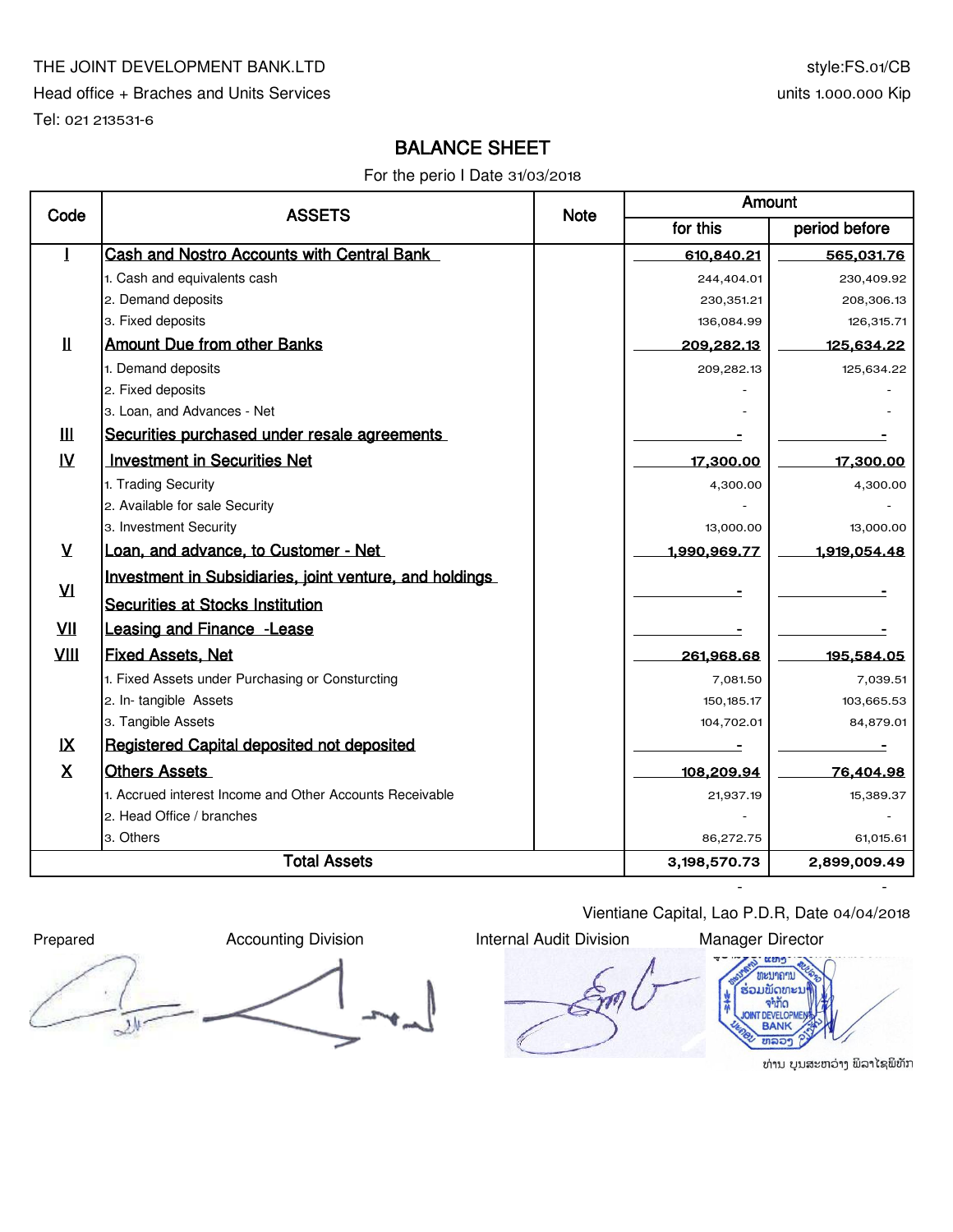### THE JOINT DEVELOPMENT BANK.LTD

Head office + Braches and Units Services

Tel: 021 213531-6

# BALANCE SHEET

For the perio I Date 31/03/2018

| Code          | <b>ASSETS</b>                                            | <b>Note</b> | Amount       |                   |  |
|---------------|----------------------------------------------------------|-------------|--------------|-------------------|--|
|               |                                                          |             | for this     | period before     |  |
| 1             | Cash and Nostro Accounts with Central Bank               |             | 610,840.21   | 565,031.76        |  |
|               | 1. Cash and equivalents cash                             |             | 244,404.01   | 230,409.92        |  |
|               | 2. Demand deposits                                       |             | 230,351.21   | 208,306.13        |  |
|               | 3. Fixed deposits                                        |             | 136,084.99   | 126,315.71        |  |
| Ш             | <b>Amount Due from other Banks</b>                       |             | 209,282.13   | <u>125,634.22</u> |  |
|               | 1. Demand deposits                                       |             | 209,282.13   | 125,634.22        |  |
|               | 2. Fixed deposits                                        |             |              |                   |  |
|               | 3. Loan, and Advances - Net                              |             |              |                   |  |
| Ш             | Securities purchased under resale agreements             |             |              |                   |  |
| $\mathbf{N}$  | <b>Investment in Securities Net</b>                      |             | 17,300.00    | 17,300.00         |  |
|               | 1. Trading Security                                      |             | 4,300.00     | 4,300.00          |  |
|               | 2. Available for sale Security                           |             |              |                   |  |
|               | 3. Investment Security                                   |             | 13,000.00    | 13,000.00         |  |
| $\mathsf{V}$  | Loan, and advance, to Customer - Net                     |             | 1,990,969.77 | 1,919,054.48      |  |
|               | Investment in Subsidiaries, joint venture, and holdings  |             |              |                   |  |
| $\mathbf{M}$  | Securities at Stocks Institution                         |             |              |                   |  |
| VII           | <b>Leasing and Finance - Lease</b>                       |             |              |                   |  |
| VIII          | <b>Fixed Assets, Net</b>                                 |             | 261,968.68   | 195,584.05        |  |
|               | 1. Fixed Assets under Purchasing or Consturcting         |             | 7,081.50     | 7,039.51          |  |
|               | 2. In-tangible Assets                                    |             | 150, 185.17  | 103,665.53        |  |
|               | 3. Tangible Assets                                       |             | 104,702.01   | 84,879.01         |  |
| $\mathsf{IX}$ | Registered Capital deposited not deposited               |             |              |                   |  |
| X             | <b>Others Assets</b>                                     |             | 108,209.94   | 76,404.98         |  |
|               | 1. Accrued interest Income and Other Accounts Receivable |             | 21,937.19    | 15,389.37         |  |
|               | 2. Head Office / branches                                |             |              |                   |  |
|               | 3. Others                                                |             | 86,272.75    | 61.015.61         |  |
|               | <b>Total Assets</b>                                      |             |              | 2,899,009.49      |  |
|               |                                                          |             |              |                   |  |

Vientiane Capital, Lao P.D.R, Date 04/04/2018





ທ່ານ ບຸນສະຫວ່າງ ພິລາໄຊພິທັກ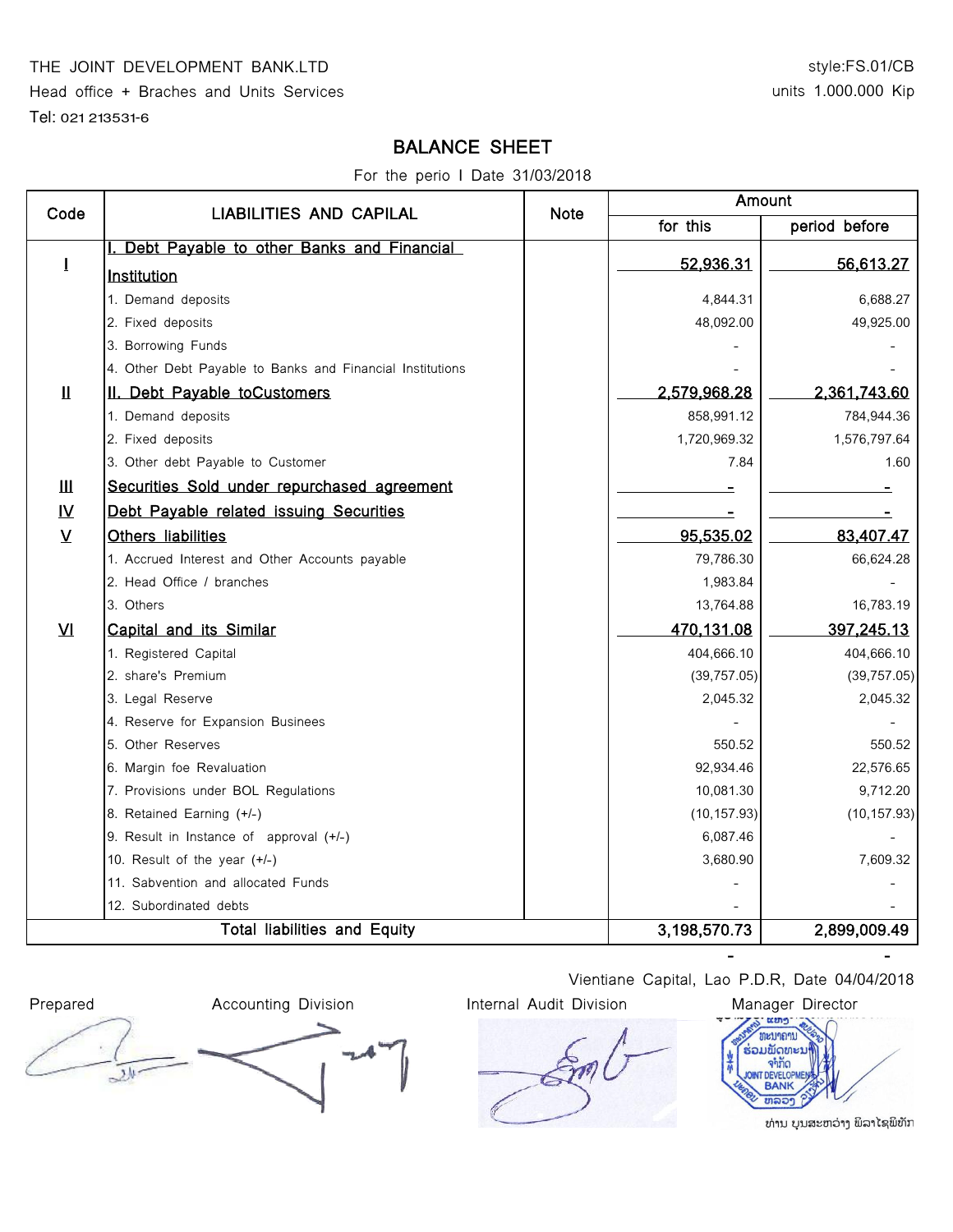#### THE JOINT DEVELOPMENT BANK.LTD

Head office + Braches and Units Services

Tel: 021 213531-6

## style:FS.01/CB units 1.000.000 Kip

# BALANCE SHEET

For the perio I Date 31/03/2018

| Code                                | <b>LIABILITIES AND CAPILAL</b>                            | <b>Note</b>  | Amount       |               |  |
|-------------------------------------|-----------------------------------------------------------|--------------|--------------|---------------|--|
|                                     |                                                           |              | for this     | period before |  |
|                                     | I. Debt Payable to other Banks and Financial              |              | 52,936.31    |               |  |
| $\mathbf{I}$                        | Institution                                               |              |              | 56,613.27     |  |
|                                     | 1. Demand deposits                                        |              | 4,844.31     | 6,688.27      |  |
|                                     | 2. Fixed deposits                                         |              | 48,092.00    | 49,925.00     |  |
|                                     | 3. Borrowing Funds                                        |              |              |               |  |
|                                     | 4. Other Debt Payable to Banks and Financial Institutions |              |              |               |  |
| $\mathbf{\mathbf{\underline{H}}}$   | II. Debt Payable toCustomers                              |              | 2,579,968.28 | 2,361,743.60  |  |
|                                     | 1. Demand deposits                                        |              | 858,991.12   | 784,944.36    |  |
|                                     | 2. Fixed deposits                                         |              | 1,720,969.32 | 1,576,797.64  |  |
|                                     | 3. Other debt Payable to Customer                         |              | 7.84         | 1.60          |  |
| Ш                                   | Securities Sold under repurchased agreement               |              |              |               |  |
| $\underline{\mathsf{N}}$            | Debt Payable related issuing Securities                   |              |              |               |  |
| $\overline{\mathbf{V}}$             | Others liabilities                                        |              | 95,535.02    | 83,407.47     |  |
|                                     | 1. Accrued Interest and Other Accounts payable            |              | 79,786.30    | 66,624.28     |  |
|                                     | 2. Head Office / branches                                 |              | 1,983.84     |               |  |
|                                     | 3. Others                                                 |              | 13,764.88    | 16,783.19     |  |
| VI                                  | Capital and its Similar                                   |              | 470,131.08   | 397,245.13    |  |
|                                     | 1. Registered Capital                                     |              | 404,666.10   | 404,666.10    |  |
|                                     | 2. share's Premium                                        |              | (39, 757.05) | (39, 757.05)  |  |
|                                     | 3. Legal Reserve                                          |              | 2,045.32     | 2,045.32      |  |
|                                     | 4. Reserve for Expansion Businees                         |              |              |               |  |
|                                     | 5. Other Reserves                                         |              | 550.52       | 550.52        |  |
|                                     | 6. Margin foe Revaluation                                 |              | 92,934.46    | 22,576.65     |  |
|                                     | 7. Provisions under BOL Regulations                       |              | 10,081.30    | 9,712.20      |  |
|                                     | 8. Retained Earning (+/-)                                 |              | (10, 157.93) | (10, 157.93)  |  |
|                                     | 9. Result in Instance of approval (+/-)                   |              | 6,087.46     |               |  |
|                                     | 10. Result of the year (+/-)                              |              | 3,680.90     | 7,609.32      |  |
|                                     | 11. Sabvention and allocated Funds                        |              |              |               |  |
|                                     | 12. Subordinated debts                                    |              |              |               |  |
| <b>Total liabilities and Equity</b> |                                                           | 3,198,570.73 | 2,899,009.49 |               |  |



Vientiane Capital, Lao P.D.R, Date 04/04/2018

- -



ທ່ານ ບຸນສະຫວ່າງ ພິລາໄຊພິທັກ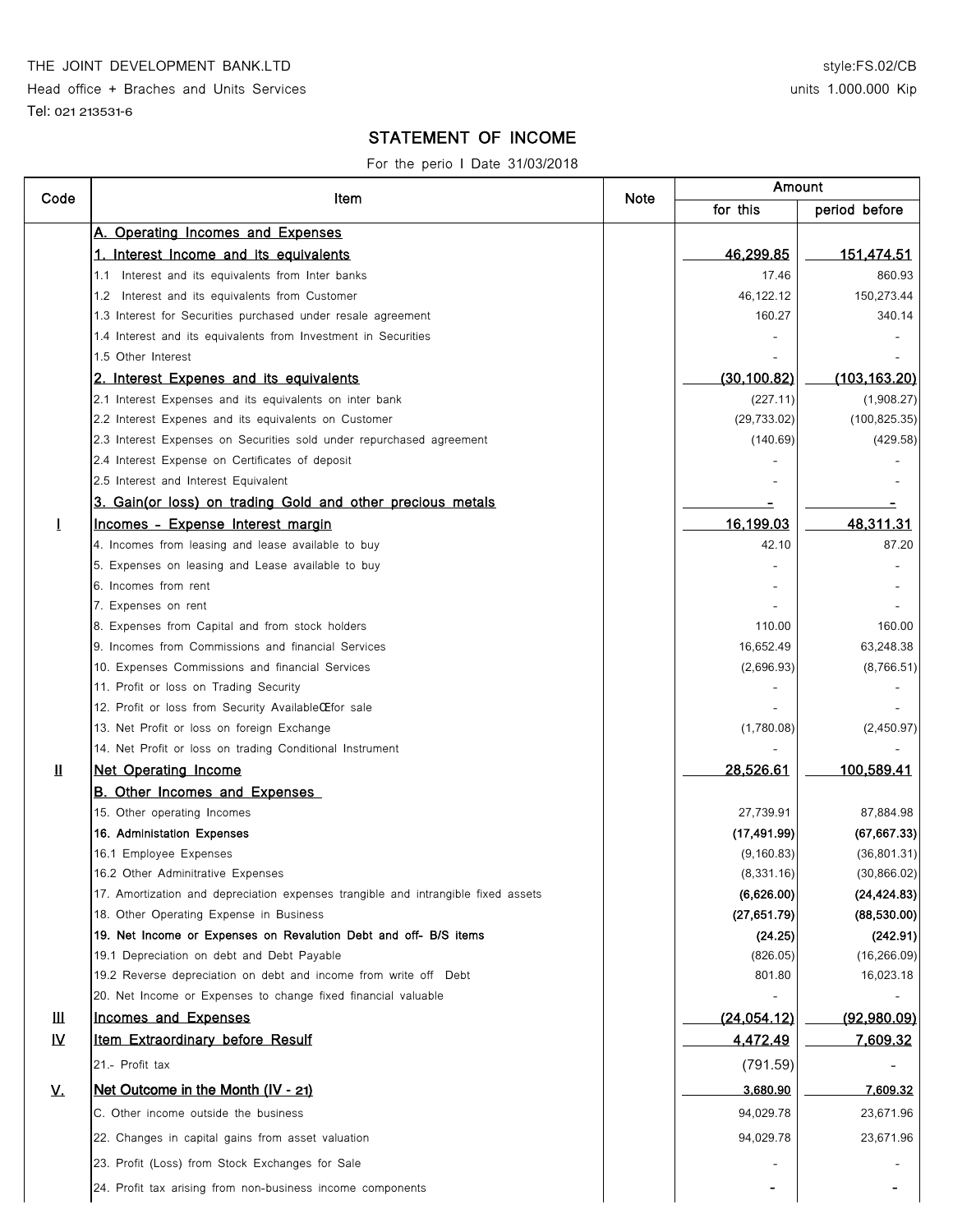THE JOINT DEVELOPMENT BANK.LTD

Head office + Braches and Units Services

Tel: 021 213531-6

### style:FS.02/CB units 1.000.000 Kip

## STATEMENT OF INCOME

For the perio I Date 31/03/2018

| Code         | Item                                                                              | Note | Amount       |                   |
|--------------|-----------------------------------------------------------------------------------|------|--------------|-------------------|
|              |                                                                                   |      | for this     | period before     |
|              | A. Operating Incomes and Expenses                                                 |      |              |                   |
|              | 1. Interest Income and its equivalents                                            |      | 46,299.85    | <u>151,474.51</u> |
|              | Interest and its equivalents from Inter banks<br>1.1                              |      | 17.46        | 860.93            |
|              | 1.2 Interest and its equivalents from Customer                                    |      | 46,122.12    | 150,273.44        |
|              | 1.3 Interest for Securities purchased under resale agreement                      |      | 160.27       | 340.14            |
|              | 1.4 Interest and its equivalents from Investment in Securities                    |      |              |                   |
|              | 1.5 Other Interest                                                                |      |              |                   |
|              | 2. Interest Expenes and its equivalents                                           |      | (30, 100.82) | (103, 163, 20)    |
|              | 2.1 Interest Expenses and its equivalents on inter bank                           |      | (227.11)     | (1,908.27)        |
|              | 2.2 Interest Expenes and its equivalents on Customer                              |      | (29, 733.02) | (100, 825.35)     |
|              | 2.3 Interest Expenses on Securities sold under repurchased agreement              |      | (140.69)     | (429.58)          |
|              | 2.4 Interest Expense on Certificates of deposit                                   |      |              |                   |
|              | 2.5 Interest and Interest Equivalent                                              |      |              |                   |
|              | 3. Gain(or loss) on trading Gold and other precious metals                        |      |              |                   |
| $\bf{l}$     | Incomes - Expense Interest margin                                                 |      | 16,199.03    | 48,311.31         |
|              | 4. Incomes from leasing and lease available to buy                                |      | 42.10        | 87.20             |
|              | 5. Expenses on leasing and Lease available to buy                                 |      |              |                   |
|              | 6. Incomes from rent                                                              |      |              |                   |
|              | 7. Expenses on rent                                                               |      |              |                   |
|              | 8. Expenses from Capital and from stock holders                                   |      | 110.00       | 160.00            |
|              | 9. Incomes from Commissions and financial Services                                |      | 16,652.49    | 63,248.38         |
|              | 10. Expenses Commissions and financial Services                                   |      | (2,696.93)   | (8,766.51)        |
|              | 11. Profit or loss on Trading Security                                            |      |              |                   |
|              | 12. Profit or loss from Security AvailableCE for sale                             |      |              |                   |
|              | 13. Net Profit or loss on foreign Exchange                                        |      | (1,780.08)   | (2,450.97)        |
|              | 14. Net Profit or loss on trading Conditional Instrument                          |      |              |                   |
| $\mathbf{H}$ | <b>Net Operating Income</b>                                                       |      | 28,526.61    | 100,589.41        |
|              | <b>B. Other Incomes and Expenses</b>                                              |      |              |                   |
|              | 15. Other operating Incomes                                                       |      | 27,739.91    | 87,884.98         |
|              | 16. Administation Expenses                                                        |      | (17, 491.99) | (67, 667.33)      |
|              | 16.1 Employee Expenses                                                            |      | (9, 160.83)  | (36, 801.31)      |
|              | 16.2 Other Adminitrative Expenses                                                 |      | (8, 331.16)  | (30, 866.02)      |
|              | 17. Amortization and depreciation expenses trangible and intrangible fixed assets |      | (6,626.00)   | (24, 424.83)      |
|              | 18. Other Operating Expense in Business                                           |      | (27, 651.79) | (88, 530.00)      |
|              | 19. Net Income or Expenses on Revalution Debt and off- B/S items                  |      | (24.25)      | (242.91)          |
|              | 19.1 Depreciation on debt and Debt Payable                                        |      | (826.05)     | (16, 266.09)      |
|              | 19.2 Reverse depreciation on debt and income from write off Debt                  |      | 801.80       | 16,023.18         |
|              | 20. Net Income or Expenses to change fixed financial valuable                     |      |              |                   |
| Ш            | Incomes and Expenses                                                              |      | (24, 054.12) | (92,980.09)       |
| IV.          | Item Extraordinary before Resulf                                                  |      | 4,472.49     | 7,609.32          |
|              | 21.- Profit tax                                                                   |      | (791.59)     |                   |
| <u>v.</u>    | Net Outcome in the Month (IV - 21)                                                |      | 3,680.90     | 7,609.32          |
|              | C. Other income outside the business                                              |      | 94,029.78    | 23,671.96         |
|              | 22. Changes in capital gains from asset valuation                                 |      | 94,029.78    | 23,671.96         |
|              | 23. Profit (Loss) from Stock Exchanges for Sale                                   |      |              |                   |
|              | 24. Profit tax arising from non-business income components                        |      |              |                   |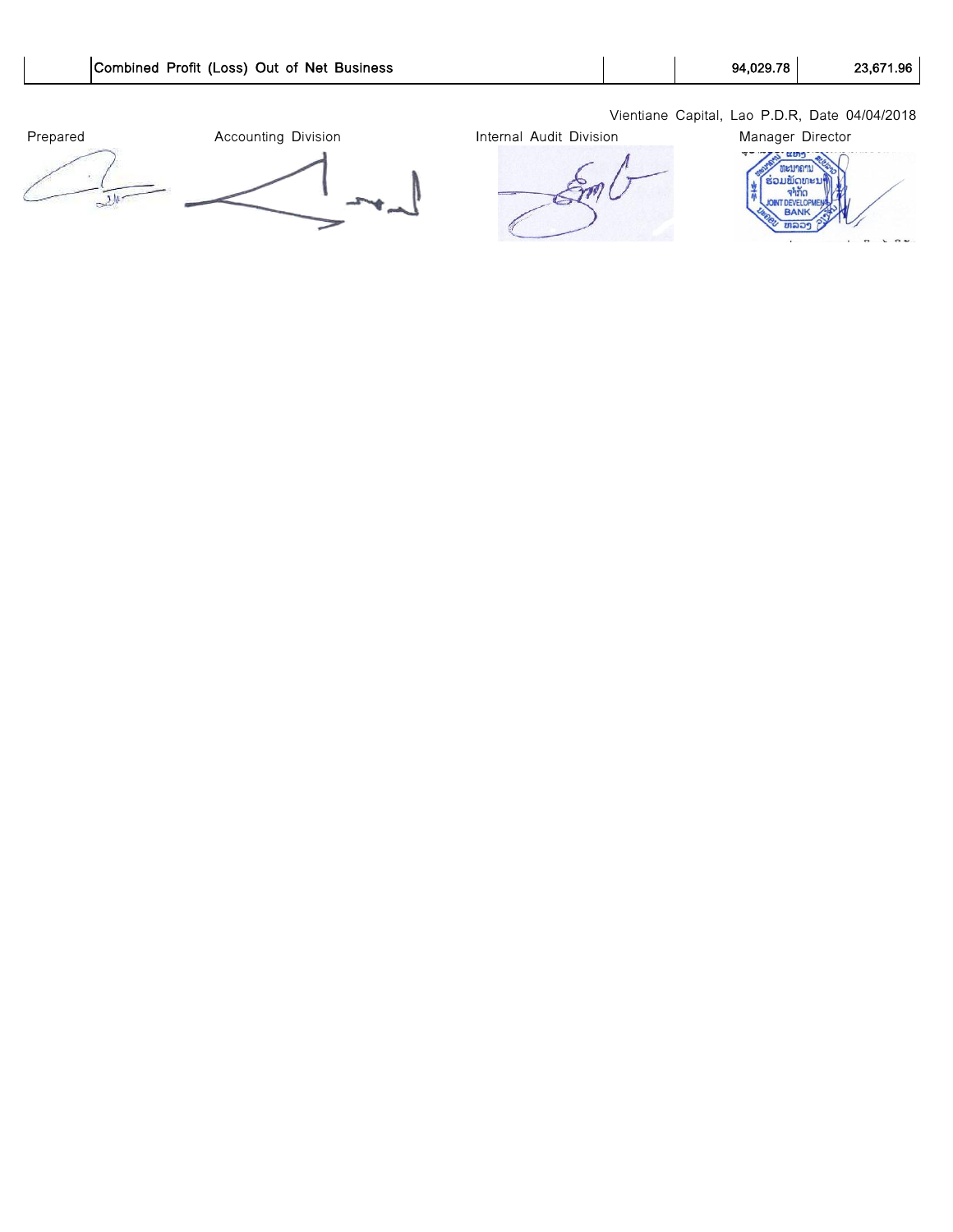

Vientiane Capital, Lao P.D.R, Date 04/04/2018

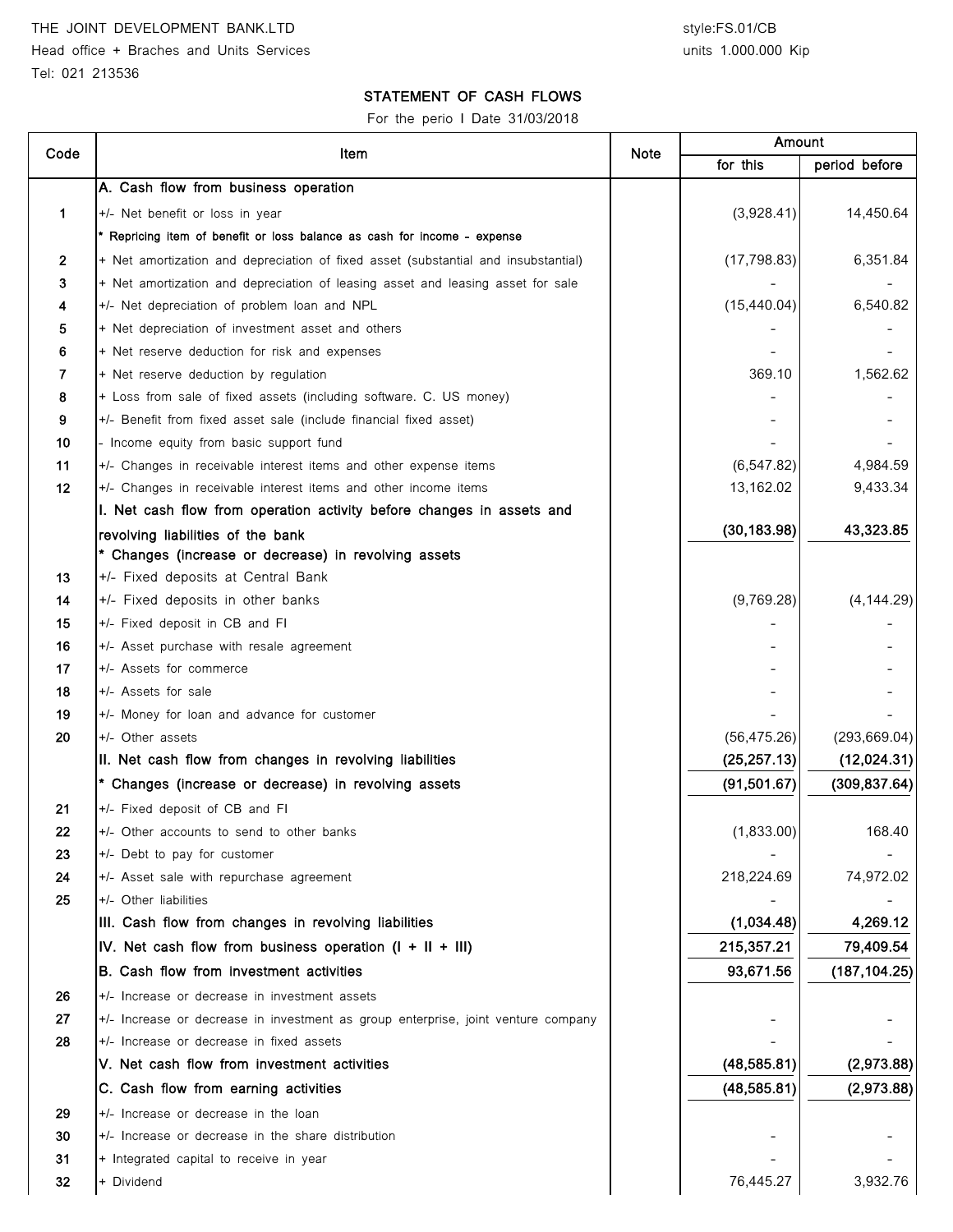#### STATEMENT OF CASH FLOWS

For the perio I Date 31/03/2018

| Code           | Item                                                                               | <b>Note</b> | Amount       |               |
|----------------|------------------------------------------------------------------------------------|-------------|--------------|---------------|
|                |                                                                                    |             | for this     | period before |
|                | A. Cash flow from business operation                                               |             |              |               |
| 1              | +/- Net benefit or loss in year                                                    |             | (3,928.41)   | 14,450.64     |
|                | * Repricing item of benefit or loss balance as cash for income - expense           |             |              |               |
| $\overline{2}$ | + Net amortization and depreciation of fixed asset (substantial and insubstantial) |             | (17, 798.83) | 6,351.84      |
| 3              | + Net amortization and depreciation of leasing asset and leasing asset for sale    |             |              |               |
| 4              | +/- Net depreciation of problem loan and NPL                                       |             | (15, 440.04) | 6,540.82      |
| 5              | + Net depreciation of investment asset and others                                  |             |              |               |
| 6              | + Net reserve deduction for risk and expenses                                      |             |              |               |
| 7              | + Net reserve deduction by regulation                                              |             | 369.10       | 1,562.62      |
| 8              | + Loss from sale of fixed assets (including software. C. US money)                 |             |              |               |
| 9              | +/- Benefit from fixed asset sale (include financial fixed asset)                  |             |              |               |
| 10             | - Income equity from basic support fund                                            |             |              |               |
| 11             | +/- Changes in receivable interest items and other expense items                   |             | (6, 547.82)  | 4,984.59      |
| 12             | +/- Changes in receivable interest items and other income items                    |             | 13,162.02    | 9,433.34      |
|                | I. Net cash flow from operation activity before changes in assets and              |             |              |               |
|                | revolving liabilities of the bank                                                  |             | (30, 183.98) | 43,323.85     |
|                | * Changes (increase or decrease) in revolving assets                               |             |              |               |
| 13             | +/- Fixed deposits at Central Bank                                                 |             |              |               |
| 14             | +/- Fixed deposits in other banks                                                  |             | (9,769.28)   | (4, 144.29)   |
| 15             | +/- Fixed deposit in CB and FI                                                     |             |              |               |
| 16             | +/- Asset purchase with resale agreement                                           |             |              |               |
| 17             | +/- Assets for commerce                                                            |             |              |               |
| 18             | +/- Assets for sale                                                                |             |              |               |
| 19             | +/- Money for loan and advance for customer                                        |             |              |               |
| 20             | +/- Other assets                                                                   |             | (56, 475.26) | (293, 669.04) |
|                | II. Net cash flow from changes in revolving liabilities                            |             | (25, 257.13) | (12,024.31)   |
|                | * Changes (increase or decrease) in revolving assets                               |             | (91, 501.67) | (309, 837.64) |
| 21             | +/- Fixed deposit of CB and FI                                                     |             |              |               |
| 22             | +/- Other accounts to send to other banks                                          |             | (1,833.00)   | 168.40        |
| 23             | +/- Debt to pay for customer                                                       |             |              |               |
| 24             | +/- Asset sale with repurchase agreement                                           |             | 218,224.69   | 74,972.02     |
| 25             | +/- Other liabilities                                                              |             |              |               |
|                | III. Cash flow from changes in revolving liabilities                               |             | (1,034.48)   | 4,269.12      |
|                | IV. Net cash flow from business operation $(I + II + III)$                         |             | 215,357.21   | 79,409.54     |
|                | B. Cash flow from investment activities                                            |             | 93,671.56    | (187, 104.25) |
| 26             | +/- Increase or decrease in investment assets                                      |             |              |               |
| 27             | +/- Increase or decrease in investment as group enterprise, joint venture company  |             |              |               |
| 28             | +/- Increase or decrease in fixed assets                                           |             |              |               |
|                | V. Net cash flow from investment activities                                        |             | (48, 585.81) | (2,973.88)    |
|                | C. Cash flow from earning activities                                               |             | (48, 585.81) | (2,973.88)    |
| 29             | +/- Increase or decrease in the loan                                               |             |              |               |
| 30             | +/- Increase or decrease in the share distribution                                 |             |              |               |
| 31             | + Integrated capital to receive in year                                            |             |              |               |
| 32             | + Dividend                                                                         |             | 76,445.27    | 3,932.76      |
|                |                                                                                    |             |              |               |